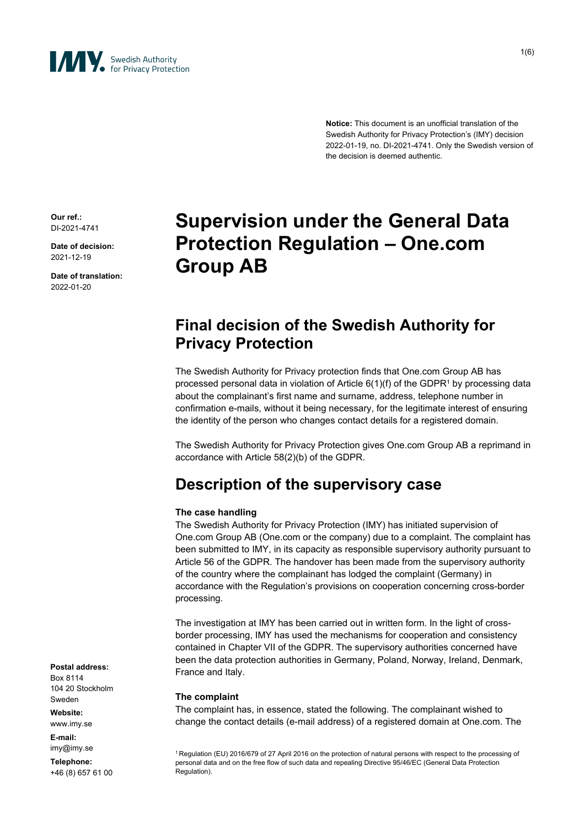

1(6)

**Notice:** This document is an unofficial translation of the Swedish Authority for Privacy Protection's (IMY) decision 2022-01-19, no. DI-2021-4741. Only the Swedish version of the decision is deemed authentic.

**Our ref.:** DI-2021-4741

**Date of decision:** 2021-12-19

**Date of translation:** 2022-01-20

# **Supervision under the General Data Protection Regulation – One.com Group AB**

### **Final decision of the Swedish Authority for Privacy Protection**

The Swedish Authority for Privacy protection finds that One.com Group AB has processed personal data in violation of Article 6(1)(f) of the GDPR<sup>1</sup> by processing data about the complainant's first name and surname, address, telephone number in confirmation e-mails, without it being necessary, for the legitimate interest of ensuring the identity of the person who changes contact details for a registered domain.

The Swedish Authority for Privacy Protection gives One.com Group AB a reprimand in accordance with Article 58(2)(b) of the GDPR.

## **Description of the supervisory case**

#### **The case handling**

The Swedish Authority for Privacy Protection (IMY) has initiated supervision of One.com Group AB (One.com or the company) due to a complaint. The complaint has been submitted to IMY, in its capacity as responsible supervisory authority pursuant to Article 56 of the GDPR. The handover has been made from the supervisory authority of the country where the complainant has lodged the complaint (Germany) in accordance with the Regulation's provisions on cooperation concerning cross-border processing.

The investigation at IMY has been carried out in written form. In the light of crossborder processing, IMY has used the mechanisms for cooperation and consistency contained in Chapter VII of the GDPR. The supervisory authorities concerned have been the data protection authorities in Germany, Poland, Norway, Ireland, Denmark, France and Italy.

#### **The complaint**

The complaint has, in essence, stated the following. The complainant wished to change the contact details (e-mail address) of a registered domain at One.com. The

<sup>1</sup> Regulation (EU) 2016/679 of 27 April 2016 on the protection of natural persons with respect to the processing of personal data and on the free flow of such data and repealing Directive 95/46/EC (General Data Protection Regulation).

**Postal address:** Box 8114 104 20 Stockholm Sweden

**Website:**

www.imy.se **E-mail:**

imy@imy.se **Telephone:** +46 (8) 657 61 00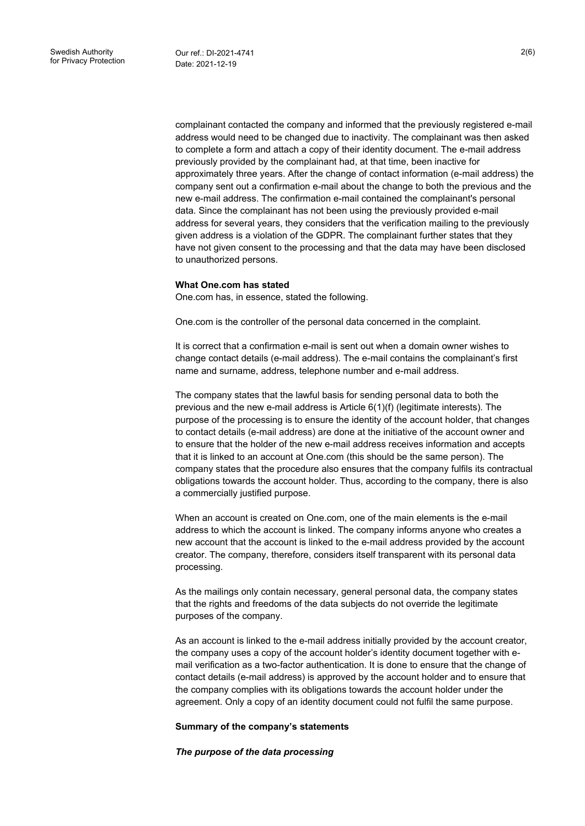complainant contacted the company and informed that the previously registered e-mail address would need to be changed due to inactivity. The complainant was then asked to complete a form and attach a copy of their identity document. The e-mail address previously provided by the complainant had, at that time, been inactive for approximately three years. After the change of contact information (e-mail address) the company sent out a confirmation e-mail about the change to both the previous and the new e-mail address. The confirmation e-mail contained the complainant's personal data. Since the complainant has not been using the previously provided e-mail address for several years, they considers that the verification mailing to the previously given address is a violation of the GDPR. The complainant further states that they have not given consent to the processing and that the data may have been disclosed to unauthorized persons.

#### **What One.com has stated**

One.com has, in essence, stated the following.

One.com is the controller of the personal data concerned in the complaint.

It is correct that a confirmation e-mail is sent out when a domain owner wishes to change contact details (e-mail address). The e-mail contains the complainant's first name and surname, address, telephone number and e-mail address.

The company states that the lawful basis for sending personal data to both the previous and the new e-mail address is Article 6(1)(f) (legitimate interests). The purpose of the processing is to ensure the identity of the account holder, that changes to contact details (e-mail address) are done at the initiative of the account owner and to ensure that the holder of the new e-mail address receives information and accepts that it is linked to an account at One.com (this should be the same person). The company states that the procedure also ensures that the company fulfils its contractual obligations towards the account holder. Thus, according to the company, there is also a commercially justified purpose.

When an account is created on One.com, one of the main elements is the e-mail address to which the account is linked. The company informs anyone who creates a new account that the account is linked to the e-mail address provided by the account creator. The company, therefore, considers itself transparent with its personal data processing.

As the mailings only contain necessary, general personal data, the company states that the rights and freedoms of the data subjects do not override the legitimate purposes of the company.

As an account is linked to the e-mail address initially provided by the account creator, the company uses a copy of the account holder's identity document together with email verification as a two-factor authentication. It is done to ensure that the change of contact details (e-mail address) is approved by the account holder and to ensure that the company complies with its obligations towards the account holder under the agreement. Only a copy of an identity document could not fulfil the same purpose.

#### **Summary of the company's statements**

*The purpose of the data processing*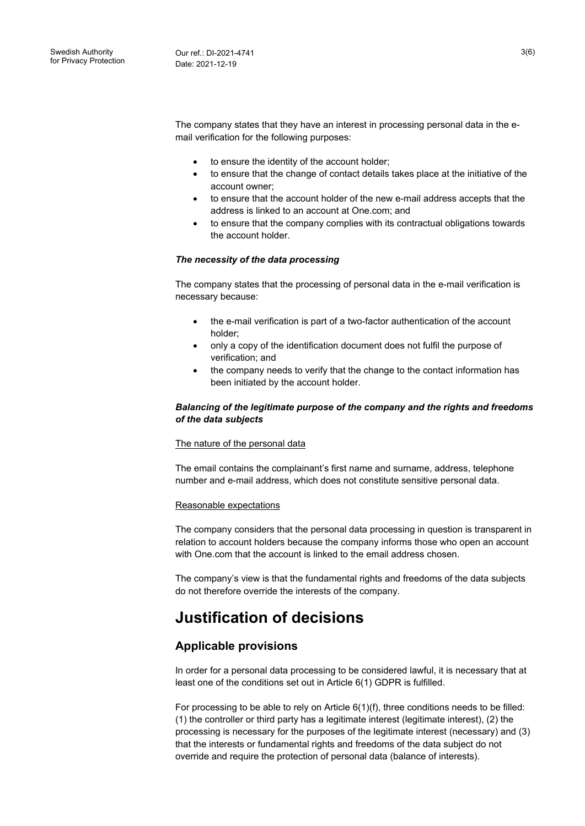The company states that they have an interest in processing personal data in the email verification for the following purposes:

- to ensure the identity of the account holder;
- to ensure that the change of contact details takes place at the initiative of the account owner;
- to ensure that the account holder of the new e-mail address accepts that the address is linked to an account at One.com; and
- to ensure that the company complies with its contractual obligations towards the account holder.

#### *The necessity of the data processing*

The company states that the processing of personal data in the e-mail verification is necessary because:

- the e-mail verification is part of a two-factor authentication of the account holder;
- only a copy of the identification document does not fulfil the purpose of verification; and
- the company needs to verify that the change to the contact information has been initiated by the account holder.

#### *Balancing of the legitimate purpose of the company and the rights and freedoms of the data subjects*

#### The nature of the personal data

The email contains the complainant's first name and surname, address, telephone number and e-mail address, which does not constitute sensitive personal data.

#### Reasonable expectations

The company considers that the personal data processing in question is transparent in relation to account holders because the company informs those who open an account with One.com that the account is linked to the email address chosen.

The company's view is that the fundamental rights and freedoms of the data subjects do not therefore override the interests of the company.

### **Justification of decisions**

#### **Applicable provisions**

In order for a personal data processing to be considered lawful, it is necessary that at least one of the conditions set out in Article 6(1) GDPR is fulfilled.

For processing to be able to rely on Article  $6(1)(f)$ , three conditions needs to be filled: (1) the controller or third party has a legitimate interest (legitimate interest), (2) the processing is necessary for the purposes of the legitimate interest (necessary) and (3) that the interests or fundamental rights and freedoms of the data subject do not override and require the protection of personal data (balance of interests).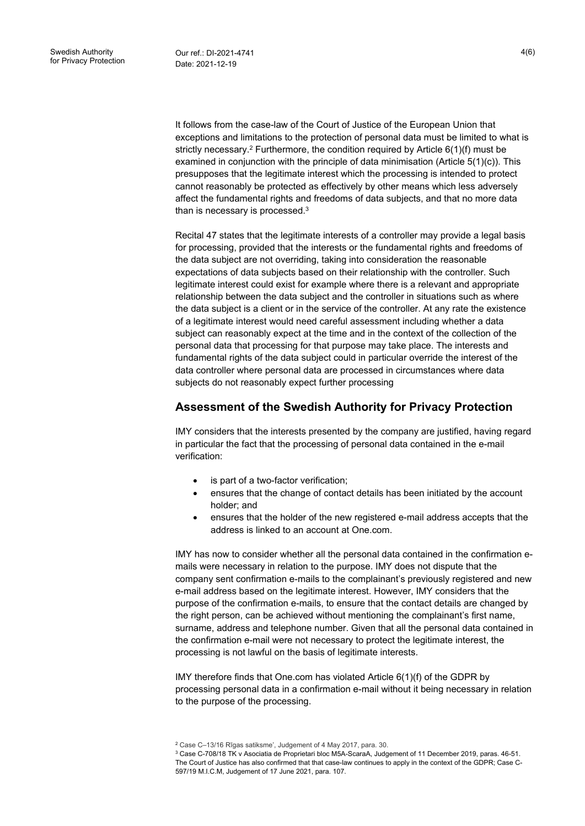It follows from the case-law of the Court of Justice of the European Union that exceptions and limitations to the protection of personal data must be limited to what is strictly necessary.<sup>2</sup> Furthermore, the condition required by Article  $6(1)(f)$  must be examined in conjunction with the principle of data minimisation (Article  $5(1)(c)$ ). This presupposes that the legitimate interest which the processing is intended to protect cannot reasonably be protected as effectively by other means which less adversely affect the fundamental rights and freedoms of data subjects, and that no more data than is necessary is processed. $3$ 

Recital 47 states that the legitimate interests of a controller may provide a legal basis for processing, provided that the interests or the fundamental rights and freedoms of the data subject are not overriding, taking into consideration the reasonable expectations of data subjects based on their relationship with the controller. Such legitimate interest could exist for example where there is a relevant and appropriate relationship between the data subject and the controller in situations such as where the data subject is a client or in the service of the controller. At any rate the existence of a legitimate interest would need careful assessment including whether a data subject can reasonably expect at the time and in the context of the collection of the personal data that processing for that purpose may take place. The interests and fundamental rights of the data subject could in particular override the interest of the data controller where personal data are processed in circumstances where data subjects do not reasonably expect further processing

### **Assessment of the Swedish Authority for Privacy Protection**

IMY considers that the interests presented by the company are justified, having regard in particular the fact that the processing of personal data contained in the e-mail verification:

- is part of a two-factor verification;
- ensures that the change of contact details has been initiated by the account holder; and
- ensures that the holder of the new registered e-mail address accepts that the address is linked to an account at One.com.

IMY has now to consider whether all the personal data contained in the confirmation emails were necessary in relation to the purpose. IMY does not dispute that the company sent confirmation e-mails to the complainant's previously registered and new e-mail address based on the legitimate interest. However, IMY considers that the purpose of the confirmation e-mails, to ensure that the contact details are changed by the right person, can be achieved without mentioning the complainant's first name, surname, address and telephone number. Given that all the personal data contained in the confirmation e-mail were not necessary to protect the legitimate interest, the processing is not lawful on the basis of legitimate interests.

IMY therefore finds that One.com has violated Article 6(1)(f) of the GDPR by processing personal data in a confirmation e-mail without it being necessary in relation to the purpose of the processing.

<sup>2</sup> Case C–13/16 Rīgas satiksme', Judgement of 4 May 2017, para. 30.

<sup>3</sup> Case C-708/18 TK v Asociatia de Proprietari bloc M5A-ScaraA, Judgement of 11 December 2019, paras. 46-51. The Court of Justice has also confirmed that that case-law continues to apply in the context of the GDPR; Case C-597/19 M.I.C.M, Judgement of 17 June 2021, para. 107.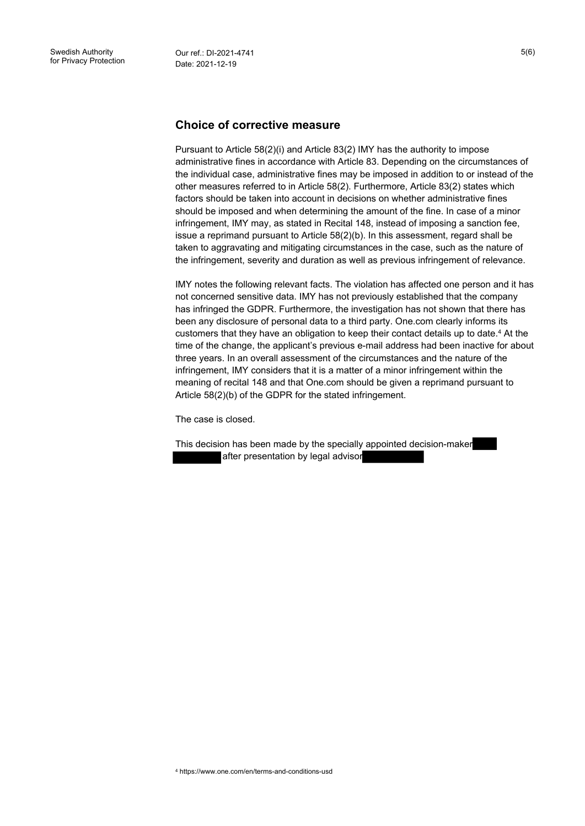### **Choice of corrective measure**

Pursuant to Article 58(2)(i) and Article 83(2) IMY has the authority to impose administrative fines in accordance with Article 83. Depending on the circumstances of the individual case, administrative fines may be imposed in addition to or instead of the other measures referred to in Article 58(2). Furthermore, Article 83(2) states which factors should be taken into account in decisions on whether administrative fines should be imposed and when determining the amount of the fine. In case of a minor infringement, IMY may, as stated in Recital 148, instead of imposing a sanction fee, issue a reprimand pursuant to Article 58(2)(b). In this assessment, regard shall be taken to aggravating and mitigating circumstances in the case, such as the nature of the infringement, severity and duration as well as previous infringement of relevance.

IMY notes the following relevant facts. The violation has affected one person and it has not concerned sensitive data. IMY has not previously established that the company has infringed the GDPR. Furthermore, the investigation has not shown that there has been any disclosure of personal data to a third party. One.com clearly informs its customers that they have an obligation to keep their contact details up to date.<sup>4</sup> At the time of the change, the applicant's previous e-mail address had been inactive for about three years. In an overall assessment of the circumstances and the nature of the infringement, IMY considers that it is a matter of a minor infringement within the meaning of recital 148 and that One.com should be given a reprimand pursuant to Article 58(2)(b) of the GDPR for the stated infringement.

The case is closed.

This decision has been made by the specially appointed decision-maker after presentation by legal advisor